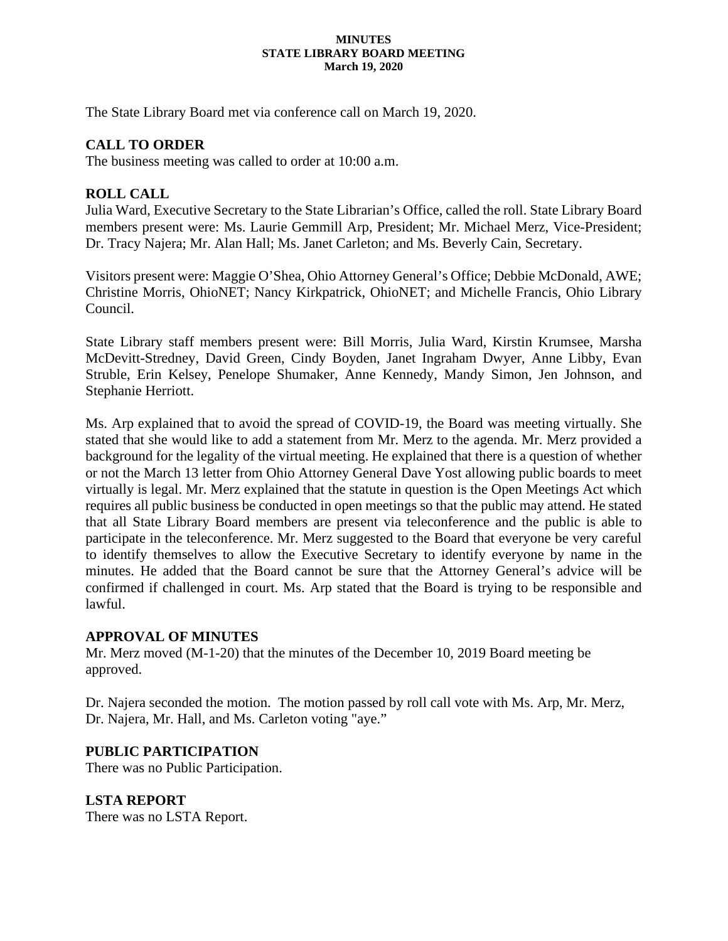#### **MINUTES STATE LIBRARY BOARD MEETING March 19, 2020**

The State Library Board met via conference call on March 19, 2020.

# **CALL TO ORDER**

The business meeting was called to order at 10:00 a.m.

## **ROLL CALL**

Julia Ward, Executive Secretary to the State Librarian's Office, called the roll. State Library Board members present were: Ms. Laurie Gemmill Arp, President; Mr. Michael Merz, Vice-President; Dr. Tracy Najera; Mr. Alan Hall; Ms. Janet Carleton; and Ms. Beverly Cain, Secretary.

Visitors present were: Maggie O'Shea, Ohio Attorney General's Office; Debbie McDonald, AWE; Christine Morris, OhioNET; Nancy Kirkpatrick, OhioNET; and Michelle Francis, Ohio Library Council.

State Library staff members present were: Bill Morris, Julia Ward, Kirstin Krumsee, Marsha McDevitt-Stredney, David Green, Cindy Boyden, Janet Ingraham Dwyer, Anne Libby, Evan Struble, Erin Kelsey, Penelope Shumaker, Anne Kennedy, Mandy Simon, Jen Johnson, and Stephanie Herriott.

Ms. Arp explained that to avoid the spread of COVID-19, the Board was meeting virtually. She stated that she would like to add a statement from Mr. Merz to the agenda. Mr. Merz provided a background for the legality of the virtual meeting. He explained that there is a question of whether or not the March 13 letter from Ohio Attorney General Dave Yost allowing public boards to meet virtually is legal. Mr. Merz explained that the statute in question is the Open Meetings Act which requires all public business be conducted in open meetings so that the public may attend. He stated that all State Library Board members are present via teleconference and the public is able to participate in the teleconference. Mr. Merz suggested to the Board that everyone be very careful to identify themselves to allow the Executive Secretary to identify everyone by name in the minutes. He added that the Board cannot be sure that the Attorney General's advice will be confirmed if challenged in court. Ms. Arp stated that the Board is trying to be responsible and lawful.

### **APPROVAL OF MINUTES**

Mr. Merz moved (M-1-20) that the minutes of the December 10, 2019 Board meeting be approved.

Dr. Najera seconded the motion. The motion passed by roll call vote with Ms. Arp, Mr. Merz, Dr. Najera, Mr. Hall, and Ms. Carleton voting "aye."

# **PUBLIC PARTICIPATION**

There was no Public Participation.

**LSTA REPORT** There was no LSTA Report.